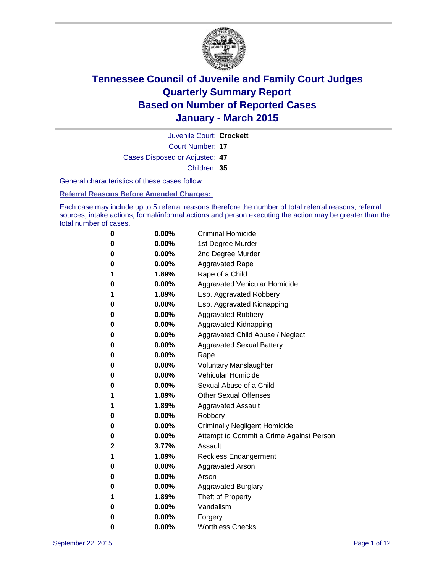

Court Number: **17** Juvenile Court: **Crockett** Cases Disposed or Adjusted: **47** Children: **35**

General characteristics of these cases follow:

#### **Referral Reasons Before Amended Charges:**

Each case may include up to 5 referral reasons therefore the number of total referral reasons, referral sources, intake actions, formal/informal actions and person executing the action may be greater than the total number of cases.

| 0            | $0.00\%$ | <b>Criminal Homicide</b>                 |
|--------------|----------|------------------------------------------|
| 0            | $0.00\%$ | 1st Degree Murder                        |
| 0            | $0.00\%$ | 2nd Degree Murder                        |
| 0            | $0.00\%$ | <b>Aggravated Rape</b>                   |
| 1            | 1.89%    | Rape of a Child                          |
| 0            | $0.00\%$ | Aggravated Vehicular Homicide            |
| 1            | 1.89%    | Esp. Aggravated Robbery                  |
| 0            | $0.00\%$ | Esp. Aggravated Kidnapping               |
| 0            | $0.00\%$ | <b>Aggravated Robbery</b>                |
| $\bf{0}$     | $0.00\%$ | Aggravated Kidnapping                    |
| 0            | 0.00%    | Aggravated Child Abuse / Neglect         |
| 0            | $0.00\%$ | <b>Aggravated Sexual Battery</b>         |
| 0            | $0.00\%$ | Rape                                     |
| 0            | $0.00\%$ | <b>Voluntary Manslaughter</b>            |
| 0            | $0.00\%$ | <b>Vehicular Homicide</b>                |
| 0            | $0.00\%$ | Sexual Abuse of a Child                  |
| 1            | 1.89%    | <b>Other Sexual Offenses</b>             |
| 1            | 1.89%    | <b>Aggravated Assault</b>                |
| 0            | $0.00\%$ | Robbery                                  |
| $\bf{0}$     | $0.00\%$ | <b>Criminally Negligent Homicide</b>     |
| 0            | $0.00\%$ | Attempt to Commit a Crime Against Person |
| $\mathbf{2}$ | 3.77%    | Assault                                  |
| 1            | 1.89%    | <b>Reckless Endangerment</b>             |
| 0            | $0.00\%$ | <b>Aggravated Arson</b>                  |
| 0            | $0.00\%$ | Arson                                    |
| 0            | $0.00\%$ | <b>Aggravated Burglary</b>               |
| 1            | 1.89%    | Theft of Property                        |
| 0            | $0.00\%$ | Vandalism                                |
| 0            | 0.00%    | Forgery                                  |
| 0            | 0.00%    | <b>Worthless Checks</b>                  |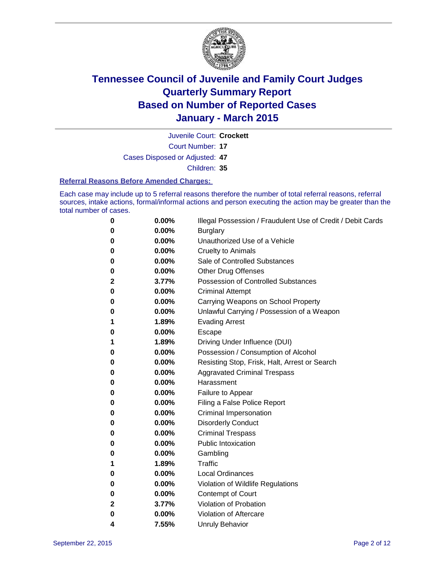

Juvenile Court: **Crockett**

Court Number: **17**

Cases Disposed or Adjusted: **47**

Children: **35**

#### **Referral Reasons Before Amended Charges:**

Each case may include up to 5 referral reasons therefore the number of total referral reasons, referral sources, intake actions, formal/informal actions and person executing the action may be greater than the total number of cases.

| 0            | 0.00% | Illegal Possession / Fraudulent Use of Credit / Debit Cards |
|--------------|-------|-------------------------------------------------------------|
| 0            | 0.00% | <b>Burglary</b>                                             |
| 0            | 0.00% | Unauthorized Use of a Vehicle                               |
| 0            | 0.00% | <b>Cruelty to Animals</b>                                   |
| 0            | 0.00% | Sale of Controlled Substances                               |
| 0            | 0.00% | <b>Other Drug Offenses</b>                                  |
| $\mathbf{2}$ | 3.77% | <b>Possession of Controlled Substances</b>                  |
| 0            | 0.00% | <b>Criminal Attempt</b>                                     |
| 0            | 0.00% | Carrying Weapons on School Property                         |
| 0            | 0.00% | Unlawful Carrying / Possession of a Weapon                  |
| 1            | 1.89% | <b>Evading Arrest</b>                                       |
| 0            | 0.00% | Escape                                                      |
| 1            | 1.89% | Driving Under Influence (DUI)                               |
| 0            | 0.00% | Possession / Consumption of Alcohol                         |
| 0            | 0.00% | Resisting Stop, Frisk, Halt, Arrest or Search               |
| 0            | 0.00% | <b>Aggravated Criminal Trespass</b>                         |
| 0            | 0.00% | Harassment                                                  |
| 0            | 0.00% | Failure to Appear                                           |
| 0            | 0.00% | Filing a False Police Report                                |
| 0            | 0.00% | Criminal Impersonation                                      |
| 0            | 0.00% | <b>Disorderly Conduct</b>                                   |
| 0            | 0.00% | <b>Criminal Trespass</b>                                    |
| 0            | 0.00% | <b>Public Intoxication</b>                                  |
| 0            | 0.00% | Gambling                                                    |
| 1            | 1.89% | Traffic                                                     |
| 0            | 0.00% | <b>Local Ordinances</b>                                     |
| 0            | 0.00% | Violation of Wildlife Regulations                           |
| 0            | 0.00% | Contempt of Court                                           |
| 2            | 3.77% | Violation of Probation                                      |
| 0            | 0.00% | Violation of Aftercare                                      |
| 4            | 7.55% | <b>Unruly Behavior</b>                                      |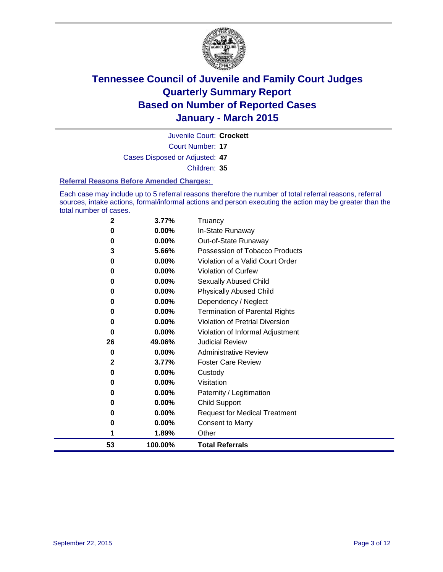

Court Number: **17** Juvenile Court: **Crockett** Cases Disposed or Adjusted: **47** Children: **35**

#### **Referral Reasons Before Amended Charges:**

Each case may include up to 5 referral reasons therefore the number of total referral reasons, referral sources, intake actions, formal/informal actions and person executing the action may be greater than the total number of cases.

| 2  | 3.77%    | Truancy                               |  |
|----|----------|---------------------------------------|--|
| 0  | 0.00%    | In-State Runaway                      |  |
| 0  | 0.00%    | Out-of-State Runaway                  |  |
| 3  | 5.66%    | Possession of Tobacco Products        |  |
| 0  | $0.00\%$ | Violation of a Valid Court Order      |  |
| 0  | 0.00%    | Violation of Curfew                   |  |
| 0  | 0.00%    | Sexually Abused Child                 |  |
| 0  | 0.00%    | <b>Physically Abused Child</b>        |  |
| 0  | 0.00%    | Dependency / Neglect                  |  |
| 0  | 0.00%    | <b>Termination of Parental Rights</b> |  |
| 0  | 0.00%    | Violation of Pretrial Diversion       |  |
| 0  | 0.00%    | Violation of Informal Adjustment      |  |
| 26 | 49.06%   | <b>Judicial Review</b>                |  |
| 0  | 0.00%    | <b>Administrative Review</b>          |  |
| 2  | 3.77%    | <b>Foster Care Review</b>             |  |
| 0  | $0.00\%$ | Custody                               |  |
| 0  | 0.00%    | Visitation                            |  |
| 0  | 0.00%    | Paternity / Legitimation              |  |
| 0  | 0.00%    | <b>Child Support</b>                  |  |
| 0  | 0.00%    | <b>Request for Medical Treatment</b>  |  |
| 0  | 0.00%    | <b>Consent to Marry</b>               |  |
| 1  | 1.89%    | Other                                 |  |
| 53 | 100.00%  | <b>Total Referrals</b>                |  |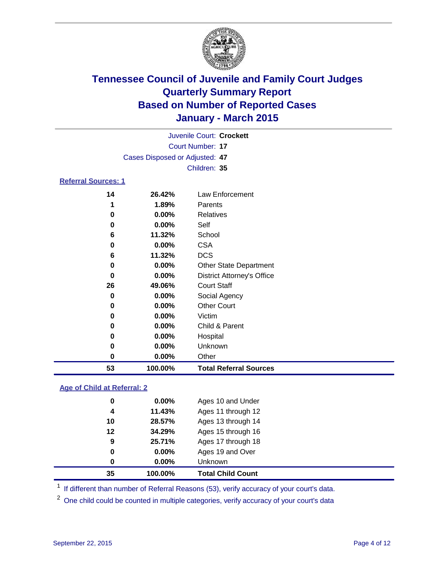

| Juvenile Court: Crockett       |  |
|--------------------------------|--|
| Court Number: 17               |  |
| Cases Disposed or Adjusted: 47 |  |
| Children: 35                   |  |
|                                |  |

#### **Referral Sources: 1**

| 53 | 100.00%  | <b>Total Referral Sources</b>     |
|----|----------|-----------------------------------|
| 0  | $0.00\%$ | Other                             |
| 0  | 0.00%    | Unknown                           |
| 0  | 0.00%    | Hospital                          |
| 0  | 0.00%    | Child & Parent                    |
| 0  | $0.00\%$ | Victim                            |
| 0  | $0.00\%$ | <b>Other Court</b>                |
| 0  | $0.00\%$ | Social Agency                     |
| 26 | 49.06%   | <b>Court Staff</b>                |
| 0  | $0.00\%$ | <b>District Attorney's Office</b> |
| 0  | 0.00%    | <b>Other State Department</b>     |
| 6  | 11.32%   | <b>DCS</b>                        |
| 0  | $0.00\%$ | <b>CSA</b>                        |
| 6  | 11.32%   | School                            |
| 0  | 0.00%    | Self                              |
| 0  | $0.00\%$ | Relatives                         |
|    | 1.89%    | Parents                           |
| 14 | 26.42%   | Law Enforcement                   |

#### **Age of Child at Referral: 2**

| 35 | 100.00%  | <b>Total Child Count</b> |
|----|----------|--------------------------|
| 0  | $0.00\%$ | <b>Unknown</b>           |
| 0  | $0.00\%$ | Ages 19 and Over         |
| 9  | 25.71%   | Ages 17 through 18       |
| 12 | 34.29%   | Ages 15 through 16       |
| 10 | 28.57%   | Ages 13 through 14       |
| 4  | 11.43%   | Ages 11 through 12       |
| 0  | $0.00\%$ | Ages 10 and Under        |

<sup>1</sup> If different than number of Referral Reasons (53), verify accuracy of your court's data.

One child could be counted in multiple categories, verify accuracy of your court's data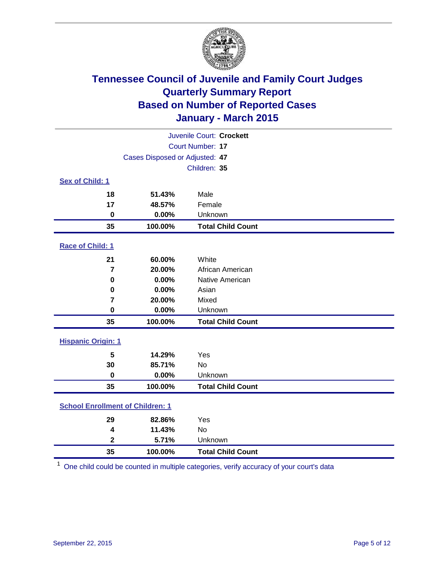

| Juvenile Court: Crockett                |                                |                          |  |  |
|-----------------------------------------|--------------------------------|--------------------------|--|--|
|                                         | <b>Court Number: 17</b>        |                          |  |  |
|                                         | Cases Disposed or Adjusted: 47 |                          |  |  |
|                                         |                                | Children: 35             |  |  |
| Sex of Child: 1                         |                                |                          |  |  |
| 18                                      | 51.43%                         | Male                     |  |  |
| 17                                      | 48.57%                         | Female                   |  |  |
| $\bf{0}$                                | 0.00%                          | Unknown                  |  |  |
| 35                                      | 100.00%                        | <b>Total Child Count</b> |  |  |
| Race of Child: 1                        |                                |                          |  |  |
| 21                                      | 60.00%                         | White                    |  |  |
| $\overline{7}$                          | 20.00%                         | African American         |  |  |
| 0                                       | 0.00%                          | Native American          |  |  |
| 0                                       | 0.00%                          | Asian                    |  |  |
| 7                                       | 20.00%                         | Mixed                    |  |  |
| $\bf{0}$                                | 0.00%                          | Unknown                  |  |  |
| 35                                      | 100.00%                        | <b>Total Child Count</b> |  |  |
| <b>Hispanic Origin: 1</b>               |                                |                          |  |  |
| 5                                       | 14.29%                         | Yes                      |  |  |
| 30                                      | 85.71%                         | <b>No</b>                |  |  |
| $\bf{0}$                                | 0.00%                          | Unknown                  |  |  |
| 35                                      | 100.00%                        | <b>Total Child Count</b> |  |  |
| <b>School Enrollment of Children: 1</b> |                                |                          |  |  |
| 29                                      | 82.86%                         | Yes                      |  |  |
| 4                                       | 11.43%                         | <b>No</b>                |  |  |
| $\mathbf 2$                             | 5.71%                          | Unknown                  |  |  |
| 35                                      | 100.00%                        | <b>Total Child Count</b> |  |  |

One child could be counted in multiple categories, verify accuracy of your court's data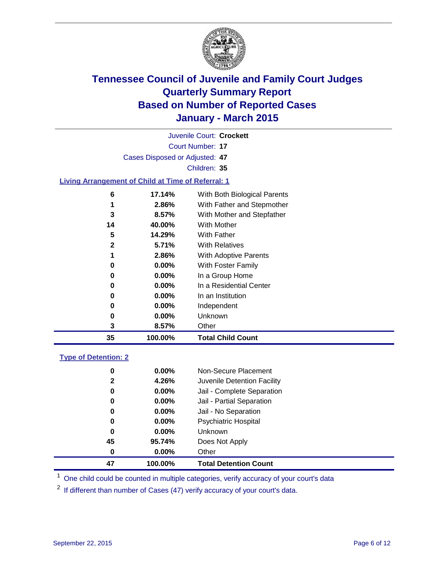

Court Number: **17** Juvenile Court: **Crockett** Cases Disposed or Adjusted: **47** Children: **35 Living Arrangement of Child at Time of Referral: 1 17.14%** With Both Biological Parents

| 35 | 100.00%  | <b>Total Child Count</b>   |
|----|----------|----------------------------|
| 3  | 8.57%    | Other                      |
| 0  | $0.00\%$ | <b>Unknown</b>             |
| 0  | 0.00%    | Independent                |
| 0  | $0.00\%$ | In an Institution          |
| 0  | $0.00\%$ | In a Residential Center    |
| 0  | $0.00\%$ | In a Group Home            |
| 0  | $0.00\%$ | With Foster Family         |
|    | 2.86%    | With Adoptive Parents      |
| 2  | 5.71%    | <b>With Relatives</b>      |
| 5  | 14.29%   | <b>With Father</b>         |
| 14 | 40.00%   | <b>With Mother</b>         |
| 3  | 8.57%    | With Mother and Stepfather |
|    | 2.86%    | With Father and Stepmother |
|    |          |                            |

#### **Type of Detention: 2**

| $\mathbf{2}$<br>0<br>0<br>0<br>0<br>0<br>45 | 4.26%<br>$0.00\%$<br>0.00%<br>$0.00\%$<br>$0.00\%$<br>0.00%<br>95.74% | Juvenile Detention Facility<br>Jail - Complete Separation<br>Jail - Partial Separation<br>Jail - No Separation<br><b>Psychiatric Hospital</b><br>Unknown<br>Does Not Apply |  |
|---------------------------------------------|-----------------------------------------------------------------------|----------------------------------------------------------------------------------------------------------------------------------------------------------------------------|--|
| 0                                           | $0.00\%$                                                              | Other                                                                                                                                                                      |  |
| 47                                          | 100.00%                                                               | <b>Total Detention Count</b>                                                                                                                                               |  |

<sup>1</sup> One child could be counted in multiple categories, verify accuracy of your court's data

If different than number of Cases (47) verify accuracy of your court's data.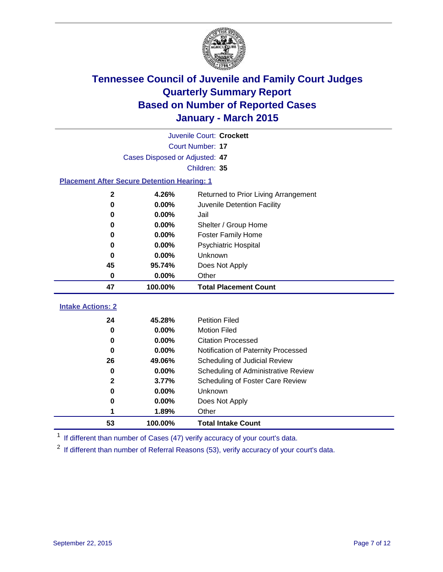

|                                                    | Juvenile Court: Crockett       |                                      |  |  |  |  |
|----------------------------------------------------|--------------------------------|--------------------------------------|--|--|--|--|
|                                                    | <b>Court Number: 17</b>        |                                      |  |  |  |  |
|                                                    | Cases Disposed or Adjusted: 47 |                                      |  |  |  |  |
|                                                    | Children: 35                   |                                      |  |  |  |  |
| <b>Placement After Secure Detention Hearing: 1</b> |                                |                                      |  |  |  |  |
| $\mathbf{2}$                                       | 4.26%                          | Returned to Prior Living Arrangement |  |  |  |  |
| $\bf{0}$                                           | 0.00%                          | Juvenile Detention Facility          |  |  |  |  |
| 0                                                  | 0.00%                          | Jail                                 |  |  |  |  |
| 0                                                  | 0.00%                          | Shelter / Group Home                 |  |  |  |  |
| $\bf{0}$                                           | 0.00%                          | <b>Foster Family Home</b>            |  |  |  |  |
| 0                                                  | 0.00%                          | <b>Psychiatric Hospital</b>          |  |  |  |  |
| 0                                                  | 0.00%                          | Unknown                              |  |  |  |  |
| 45<br>95.74%                                       |                                | Does Not Apply                       |  |  |  |  |
| Other<br>0<br>0.00%                                |                                |                                      |  |  |  |  |
| 47                                                 | 100.00%                        | <b>Total Placement Count</b>         |  |  |  |  |
| <b>Intake Actions: 2</b>                           |                                |                                      |  |  |  |  |
| 24                                                 | 45.28%                         | <b>Petition Filed</b>                |  |  |  |  |
| $\bf{0}$                                           | 0.00%                          | <b>Motion Filed</b>                  |  |  |  |  |
| $\bf{0}$                                           | 0.00%                          | <b>Citation Processed</b>            |  |  |  |  |
| $\bf{0}$                                           | 0.00%                          | Notification of Paternity Processed  |  |  |  |  |
| 26                                                 | 49.06%                         | Scheduling of Judicial Review        |  |  |  |  |
| 0                                                  | 0.00%                          | Scheduling of Administrative Review  |  |  |  |  |
| $\mathbf{2}$                                       | 3.77%                          | Scheduling of Foster Care Review     |  |  |  |  |
| $\bf{0}$                                           | 0.00%                          | Unknown                              |  |  |  |  |
| 0                                                  | 0.00%                          | Does Not Apply                       |  |  |  |  |
| 1                                                  | 1.89%                          | Other                                |  |  |  |  |
| 53                                                 | 100.00%                        | <b>Total Intake Count</b>            |  |  |  |  |

<sup>1</sup> If different than number of Cases (47) verify accuracy of your court's data.

<sup>2</sup> If different than number of Referral Reasons (53), verify accuracy of your court's data.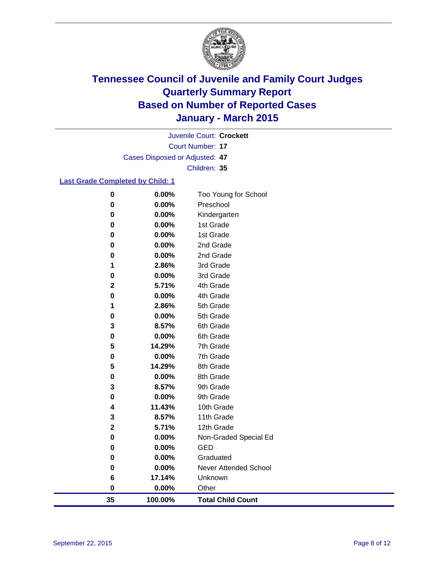

Court Number: **17** Juvenile Court: **Crockett** Cases Disposed or Adjusted: **47** Children: **35**

#### **Last Grade Completed by Child: 1**

| 35          | 100.00%        | <b>Total Child Count</b> |
|-------------|----------------|--------------------------|
| 0           | 0.00%          | Other                    |
| 6           | 17.14%         | Unknown                  |
| 0           | 0.00%          | Never Attended School    |
| 0           | 0.00%          | Graduated                |
| 0           | 0.00%          | <b>GED</b>               |
| $\pmb{0}$   | 0.00%          | Non-Graded Special Ed    |
| $\mathbf 2$ | 5.71%          | 12th Grade               |
| 3           | 8.57%          | 11th Grade               |
| 4           | 11.43%         | 10th Grade               |
| 0           | 0.00%          | 9th Grade                |
| 3           | 8.57%          | 9th Grade                |
| 0           | 0.00%          | 8th Grade                |
| 5           | 14.29%         | 8th Grade                |
| 0           | $0.00\%$       | 7th Grade                |
| 5           | 14.29%         | 7th Grade                |
| 0           | 0.00%          | 6th Grade                |
| 3           | 8.57%          | 6th Grade                |
| 0           | 0.00%          | 5th Grade                |
| 1           | 2.86%          | 5th Grade                |
| 0           | 0.00%          | 4th Grade                |
| $\mathbf 2$ | 5.71%          | 4th Grade                |
| 0           | 0.00%          | 3rd Grade                |
| 0<br>1      | 0.00%<br>2.86% | 2nd Grade<br>3rd Grade   |
| 0           | 0.00%          | 2nd Grade                |
| 0           | 0.00%          | 1st Grade                |
| 0           | 0.00%          | 1st Grade                |
| 0           | 0.00%          | Kindergarten             |
| 0           | 0.00%          | Preschool                |
| $\pmb{0}$   | 0.00%          | Too Young for School     |
|             |                |                          |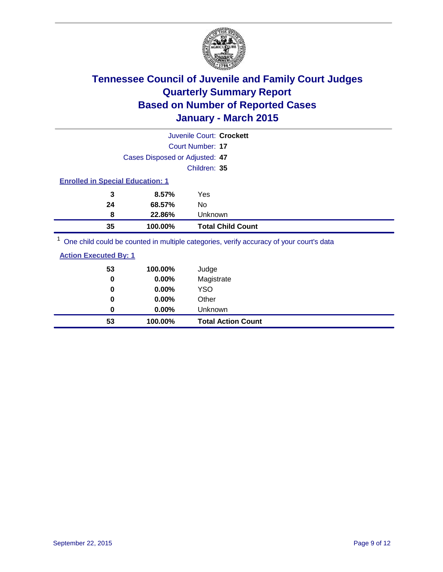

|                                                                                                                          |                                | Juvenile Court: Crockett                                                                                |                                                                                                                 |
|--------------------------------------------------------------------------------------------------------------------------|--------------------------------|---------------------------------------------------------------------------------------------------------|-----------------------------------------------------------------------------------------------------------------|
|                                                                                                                          |                                | Court Number: 17                                                                                        |                                                                                                                 |
|                                                                                                                          | Cases Disposed or Adjusted: 47 |                                                                                                         |                                                                                                                 |
|                                                                                                                          |                                | Children: 35                                                                                            |                                                                                                                 |
| <b>Enrolled in Special Education: 1</b>                                                                                  |                                |                                                                                                         |                                                                                                                 |
| 3                                                                                                                        | 8.57%                          | Yes                                                                                                     |                                                                                                                 |
| 24                                                                                                                       | 68.57%                         | No                                                                                                      |                                                                                                                 |
| 8                                                                                                                        | 22.86%                         | Unknown                                                                                                 |                                                                                                                 |
| 35                                                                                                                       | 100.00%                        | <b>Total Child Count</b>                                                                                |                                                                                                                 |
| $1 -$<br>the contract of the contract of the contract of the contract of the contract of the contract of the contract of |                                | 그 사람들은 그 사람들은 그 사람들은 아이들을 하고 있다. 그 사람들은 그 사람들은 그 사람들은 그 사람들을 하고 있다. 그 사람들은 그 사람들은 그 사람들은 그 사람들을 지키고 있다. | and the state of the state of the state of the state of the state of the state of the state of the state of the |

One child could be counted in multiple categories, verify accuracy of your court's data

| <b>Action Executed By: 1</b> |
|------------------------------|
|------------------------------|

| 53<br>0  | 100.00%<br>0.00% | Judge<br>Magistrate       |
|----------|------------------|---------------------------|
| 0        | $0.00\%$         | <b>YSO</b>                |
| $\bf{0}$ | 0.00%            | Other                     |
| 0        | 0.00%            | Unknown                   |
| 53       | 100.00%          | <b>Total Action Count</b> |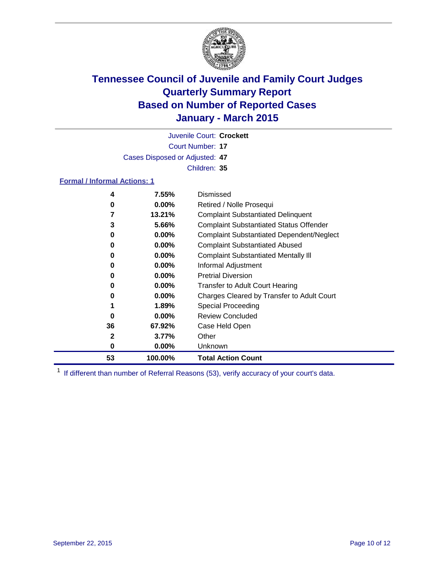

Court Number: **17** Juvenile Court: **Crockett** Cases Disposed or Adjusted: **47** Children: **35**

#### **Formal / Informal Actions: 1**

| 4  | 7.55%    | Dismissed                                        |
|----|----------|--------------------------------------------------|
| 0  | $0.00\%$ | Retired / Nolle Prosequi                         |
|    | 13.21%   | <b>Complaint Substantiated Delinquent</b>        |
| 3  | 5.66%    | <b>Complaint Substantiated Status Offender</b>   |
| 0  | $0.00\%$ | <b>Complaint Substantiated Dependent/Neglect</b> |
| 0  | $0.00\%$ | <b>Complaint Substantiated Abused</b>            |
| 0  | $0.00\%$ | <b>Complaint Substantiated Mentally III</b>      |
| 0  | $0.00\%$ | Informal Adjustment                              |
| 0  | $0.00\%$ | <b>Pretrial Diversion</b>                        |
| 0  | $0.00\%$ | <b>Transfer to Adult Court Hearing</b>           |
| 0  | $0.00\%$ | Charges Cleared by Transfer to Adult Court       |
|    | 1.89%    | Special Proceeding                               |
| 0  | $0.00\%$ | <b>Review Concluded</b>                          |
| 36 | 67.92%   | Case Held Open                                   |
| 2  | 3.77%    | Other                                            |
| 0  | $0.00\%$ | <b>Unknown</b>                                   |
| 53 | 100.00%  | <b>Total Action Count</b>                        |

<sup>1</sup> If different than number of Referral Reasons (53), verify accuracy of your court's data.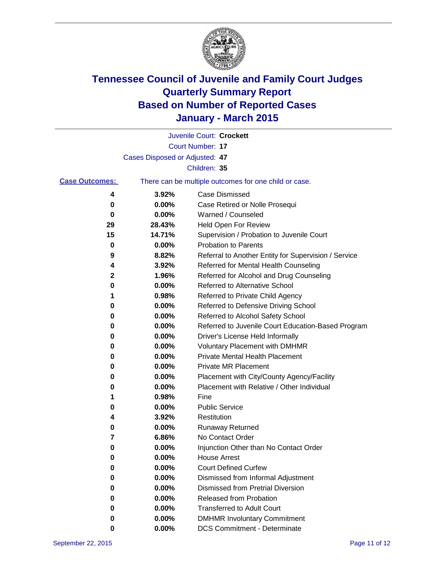

|                       |                                | Juvenile Court: Crockett                              |
|-----------------------|--------------------------------|-------------------------------------------------------|
|                       |                                | <b>Court Number: 17</b>                               |
|                       | Cases Disposed or Adjusted: 47 |                                                       |
|                       |                                | Children: 35                                          |
| <b>Case Outcomes:</b> |                                | There can be multiple outcomes for one child or case. |
| 4                     | 3.92%                          | <b>Case Dismissed</b>                                 |
| 0                     | 0.00%                          | Case Retired or Nolle Prosequi                        |
| 0                     | 0.00%                          | Warned / Counseled                                    |
| 29                    | 28.43%                         | Held Open For Review                                  |
| 15                    | 14.71%                         | Supervision / Probation to Juvenile Court             |
| 0                     | 0.00%                          | <b>Probation to Parents</b>                           |
| 9                     | 8.82%                          | Referral to Another Entity for Supervision / Service  |
| 4                     | 3.92%                          | Referred for Mental Health Counseling                 |
| 2                     | 1.96%                          | Referred for Alcohol and Drug Counseling              |
| 0                     | 0.00%                          | <b>Referred to Alternative School</b>                 |
| 1                     | 0.98%                          | Referred to Private Child Agency                      |
| 0                     | 0.00%                          | Referred to Defensive Driving School                  |
| 0                     | 0.00%                          | Referred to Alcohol Safety School                     |
| 0                     | 0.00%                          | Referred to Juvenile Court Education-Based Program    |
| 0                     | 0.00%                          | Driver's License Held Informally                      |
| 0                     | 0.00%                          | <b>Voluntary Placement with DMHMR</b>                 |
| 0                     | 0.00%                          | <b>Private Mental Health Placement</b>                |
| 0                     | 0.00%                          | Private MR Placement                                  |
| 0                     | 0.00%                          | Placement with City/County Agency/Facility            |
| 0                     | 0.00%                          | Placement with Relative / Other Individual            |
| 1                     | 0.98%                          | Fine                                                  |
| 0                     | 0.00%                          | <b>Public Service</b>                                 |
| 4                     | 3.92%                          | Restitution                                           |
| 0                     | 0.00%                          | <b>Runaway Returned</b>                               |
| 7                     | 6.86%                          | No Contact Order                                      |
| 0                     | 0.00%                          | Injunction Other than No Contact Order                |
| 0                     | 0.00%                          | <b>House Arrest</b>                                   |
| 0                     | 0.00%                          | <b>Court Defined Curfew</b>                           |
| 0                     | 0.00%                          | Dismissed from Informal Adjustment                    |
| 0                     | 0.00%                          | Dismissed from Pretrial Diversion                     |
| 0                     | 0.00%                          | Released from Probation                               |
| 0                     | 0.00%                          | <b>Transferred to Adult Court</b>                     |
| 0                     | 0.00%                          | <b>DMHMR Involuntary Commitment</b>                   |
| 0                     | 0.00%                          | <b>DCS Commitment - Determinate</b>                   |